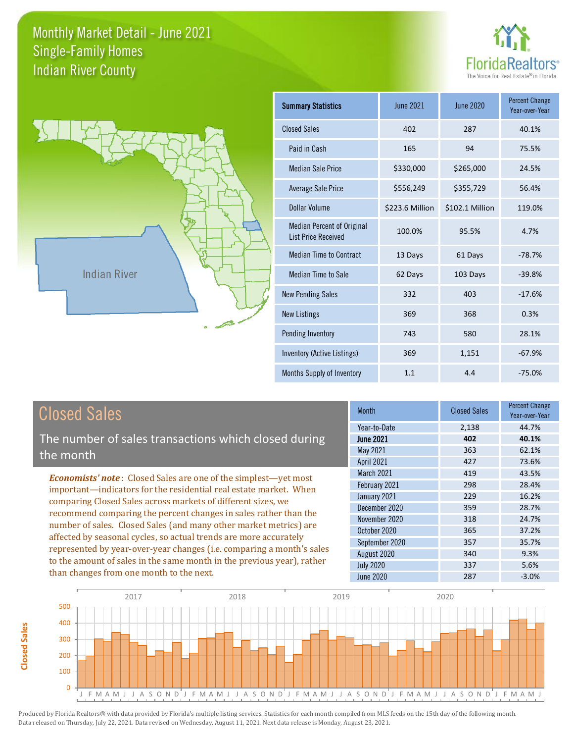



| <b>Summary Statistics</b>                                       | June 2021       | June 2020       | <b>Percent Change</b><br>Year-over-Year |
|-----------------------------------------------------------------|-----------------|-----------------|-----------------------------------------|
| <b>Closed Sales</b>                                             | 402             | 287             | 40.1%                                   |
| Paid in Cash                                                    | 165             | 94              | 75.5%                                   |
| <b>Median Sale Price</b>                                        | \$330,000       | \$265,000       | 24.5%                                   |
| Average Sale Price                                              | \$556,249       | \$355,729       | 56.4%                                   |
| Dollar Volume                                                   | \$223.6 Million | \$102.1 Million | 119.0%                                  |
| <b>Median Percent of Original</b><br><b>List Price Received</b> | 100.0%          | 95.5%           | 4.7%                                    |
| <b>Median Time to Contract</b>                                  | 13 Days         | 61 Days         | $-78.7%$                                |
| Median Time to Sale                                             | 62 Days         | 103 Days        | $-39.8%$                                |
| <b>New Pending Sales</b>                                        | 332             | 403             | $-17.6%$                                |
| <b>New Listings</b>                                             | 369             | 368             | 0.3%                                    |
| Pending Inventory                                               | 743             | 580             | 28.1%                                   |
| Inventory (Active Listings)                                     | 369             | 1,151           | $-67.9%$                                |
| Months Supply of Inventory                                      | 1.1             | 4.4             | $-75.0%$                                |

# Closed Sales

**Closed Sales**

**Closed Sales** 

The number of sales transactions which closed during the month

*Economists' note* : Closed Sales are one of the simplest—yet most important—indicators for the residential real estate market. When comparing Closed Sales across markets of different sizes, we recommend comparing the percent changes in sales rather than the number of sales. Closed Sales (and many other market metrics) are affected by seasonal cycles, so actual trends are more accurately represented by year-over-year changes (i.e. comparing a month's sales to the amount of sales in the same month in the previous year), rather than changes from one month to the next.

| <b>Month</b>      | <b>Closed Sales</b> | <b>Percent Change</b><br>Year-over-Year |
|-------------------|---------------------|-----------------------------------------|
| Year-to-Date      | 2,138               | 44.7%                                   |
| <b>June 2021</b>  | 402                 | 40.1%                                   |
| May 2021          | 363                 | 62.1%                                   |
| April 2021        | 427                 | 73.6%                                   |
| <b>March 2021</b> | 419                 | 43.5%                                   |
| February 2021     | 298                 | 28.4%                                   |
| January 2021      | 229                 | 16.2%                                   |
| December 2020     | 359                 | 28.7%                                   |
| November 2020     | 318                 | 24.7%                                   |
| October 2020      | 365                 | 37.2%                                   |
| September 2020    | 357                 | 35.7%                                   |
| August 2020       | 340                 | 9.3%                                    |
| <b>July 2020</b>  | 337                 | 5.6%                                    |
| <b>June 2020</b>  | 287                 | $-3.0%$                                 |

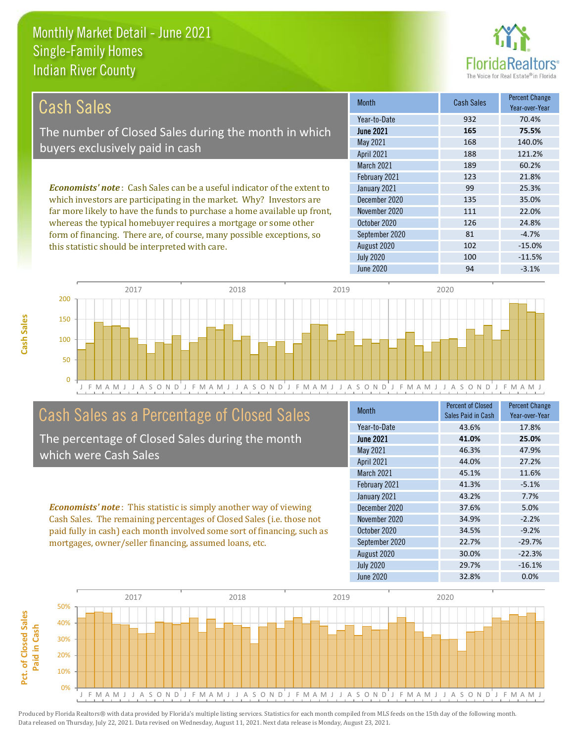this statistic should be interpreted with care.



102 -15.0%

| Cash Sales                                                                     | <b>Month</b>      | <b>Cash Sales</b> | <b>Percent Change</b><br>Year-over-Year |
|--------------------------------------------------------------------------------|-------------------|-------------------|-----------------------------------------|
|                                                                                | Year-to-Date      | 932               | 70.4%                                   |
| The number of Closed Sales during the month in which                           | <b>June 2021</b>  | 165               | 75.5%                                   |
| buyers exclusively paid in cash                                                | May 2021          | 168               | 140.0%                                  |
|                                                                                | <b>April 2021</b> | 188               | 121.2%                                  |
|                                                                                | <b>March 2021</b> | 189               | 60.2%                                   |
|                                                                                | February 2021     | 123               | 21.8%                                   |
| <b>Economists' note:</b> Cash Sales can be a useful indicator of the extent to | January 2021      | 99                | 25.3%                                   |
| which investors are participating in the market. Why? Investors are            | December 2020     | 135               | 35.0%                                   |
| far more likely to have the funds to purchase a home available up front,       | November 2020     | 111               | 22.0%                                   |
| whereas the typical homebuyer requires a mortgage or some other                | October 2020      | 126               | 24.8%                                   |
| form of financing. There are, of course, many possible exceptions, so          | September 2020    | 81                | $-4.7%$                                 |

August 2020



## Cash Sales as a Percentage of Closed Sales

The percentage of Closed Sales during the month which were Cash Sales

*Economists' note* : This statistic is simply another way of viewing Cash Sales. The remaining percentages of Closed Sales (i.e. those not paid fully in cash) each month involved some sort of financing, such as mortgages, owner/seller financing, assumed loans, etc.

| <b>Month</b>      | <b>Percent of Closed</b><br>Sales Paid in Cash | <b>Percent Change</b><br>Year-over-Year |
|-------------------|------------------------------------------------|-----------------------------------------|
| Year-to-Date      | 43.6%                                          | 17.8%                                   |
| <b>June 2021</b>  | 41.0%                                          | 25.0%                                   |
| May 2021          | 46.3%                                          | 47.9%                                   |
| <b>April 2021</b> | 44.0%                                          | 27.2%                                   |
| March 2021        | 45.1%                                          | 11.6%                                   |
| February 2021     | 41.3%                                          | $-5.1%$                                 |
| January 2021      | 43.2%                                          | 7.7%                                    |
| December 2020     | 37.6%                                          | 5.0%                                    |
| November 2020     | 34.9%                                          | $-2.2%$                                 |
| October 2020      | 34.5%                                          | $-9.2%$                                 |
| September 2020    | 22.7%                                          | $-29.7%$                                |
| August 2020       | 30.0%                                          | $-22.3%$                                |
| <b>July 2020</b>  | 29.7%                                          | $-16.1%$                                |
| June 2020         | 32.8%                                          | 0.0%                                    |

July 2020 **100** -11.5%

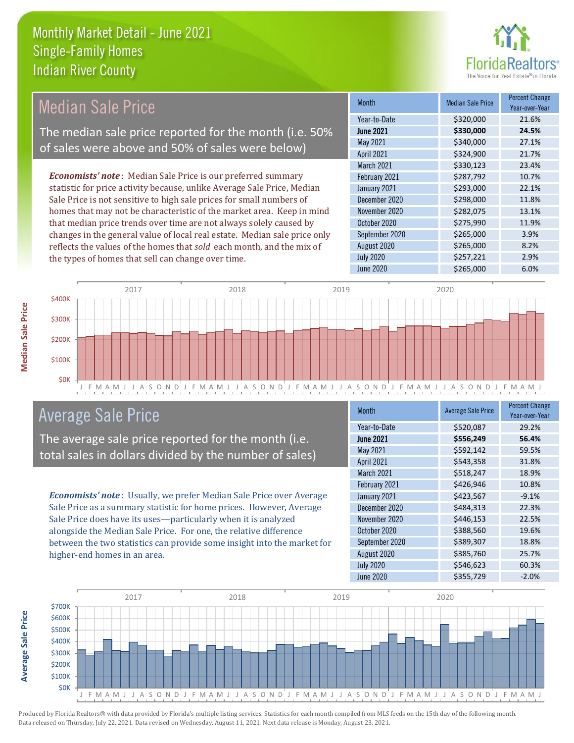

Year-over-Year

#### Month Median Sale Price Percent Change June 2021 **\$330,000 24.5%** Year-to-Date \$320,000 21.6% November 2020 \$282,075 13.1% May 2021 **\$340,000** 27.1% April 2021 324,900 21.7% January 2021 **5293,000** 22.1% December 2020 \$298,000 11.8% March 2021 \$330,123 23.4% February 2021 **\$287,792** 10.7% October 2020 **\$275,990** 11.9% September 2020 \$265,000 3.9% August 2020 **\$265,000** \$265,000 *Economists' note* : Median Sale Price is our preferred summary statistic for price activity because, unlike Average Sale Price, Median Sale Price is not sensitive to high sale prices for small numbers of homes that may not be characteristic of the market area. Keep in mind that median price trends over time are not always solely caused by changes in the general value of local real estate. Median sale price only reflects the values of the homes that *sold* each month, and the mix of Median Sale Price The median sale price reported for the month (i.e. 50% of sales were above and 50% of sales were below)



## Average Sale Price

The average sale price reported for the month (i.e. total sales in dollars divided by the number of sales)

the types of homes that sell can change over time.

*Economists' note* : Usually, we prefer Median Sale Price over Average Sale Price as a summary statistic for home prices. However, Average Sale Price does have its uses—particularly when it is analyzed alongside the Median Sale Price. For one, the relative difference between the two statistics can provide some insight into the market for higher-end homes in an area.

| <b>Month</b>      | <b>Average Sale Price</b> | <b>Percent Change</b><br>Year-over-Year |
|-------------------|---------------------------|-----------------------------------------|
| Year-to-Date      | \$520,087                 | 29.2%                                   |
| <b>June 2021</b>  | \$556,249                 | 56.4%                                   |
| May 2021          | \$592,142                 | 59.5%                                   |
| <b>April 2021</b> | \$543,358                 | 31.8%                                   |
| March 2021        | \$518,247                 | 18.9%                                   |
| February 2021     | \$426,946                 | 10.8%                                   |
| January 2021      | \$423,567                 | $-9.1%$                                 |
| December 2020     | \$484,313                 | 22.3%                                   |
| November 2020     | \$446,153                 | 22.5%                                   |
| October 2020      | \$388,560                 | 19.6%                                   |
| September 2020    | \$389,307                 | 18.8%                                   |
| August 2020       | \$385,760                 | 25.7%                                   |
| <b>July 2020</b>  | \$546,623                 | 60.3%                                   |
| June 2020         | \$355,729                 | $-2.0%$                                 |

July 2020 \$257,221 2.9%



Produced by Florida Realtors® with data provided by Florida's multiple listing services. Statistics for each month compiled from MLS feeds on the 15th day of the following month. Data released on Thursday, July 22, 2021. Data revised on Wednesday, August 11, 2021. Next data release is Monday, August 23, 2021.

**Average Sale Price**

**Average Sale Price**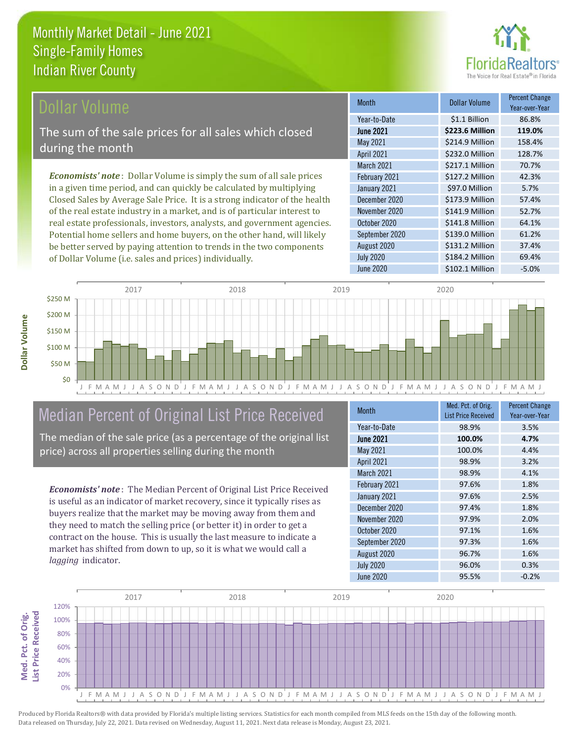

### Dollar Volume

The sum of the sale prices for all sales which closed during the month

*Economists' note* : Dollar Volume is simply the sum of all sale prices in a given time period, and can quickly be calculated by multiplying Closed Sales by Average Sale Price. It is a strong indicator of the health of the real estate industry in a market, and is of particular interest to real estate professionals, investors, analysts, and government agencies. Potential home sellers and home buyers, on the other hand, will likely be better served by paying attention to trends in the two components of Dollar Volume (i.e. sales and prices) individually.

| <b>Month</b>      | Dollar Volume   | <b>Percent Change</b><br>Year-over-Year |
|-------------------|-----------------|-----------------------------------------|
| Year-to-Date      | \$1.1 Billion   | 86.8%                                   |
| <b>June 2021</b>  | \$223.6 Million | 119.0%                                  |
| May 2021          | \$214.9 Million | 158.4%                                  |
| April 2021        | \$232.0 Million | 128.7%                                  |
| <b>March 2021</b> | \$217.1 Million | 70.7%                                   |
| February 2021     | \$127.2 Million | 42.3%                                   |
| January 2021      | \$97.0 Million  | 5.7%                                    |
| December 2020     | \$173.9 Million | 57.4%                                   |
| November 2020     | \$141.9 Million | 52.7%                                   |
| October 2020      | \$141.8 Million | 64.1%                                   |
| September 2020    | \$139.0 Million | 61.2%                                   |
| August 2020       | \$131.2 Million | 37.4%                                   |
| <b>July 2020</b>  | \$184.2 Million | 69.4%                                   |
| <b>June 2020</b>  | \$102.1 Million | $-5.0%$                                 |



# Median Percent of Original List Price Received

The median of the sale price (as a percentage of the original list price) across all properties selling during the month

*Economists' note* : The Median Percent of Original List Price Received is useful as an indicator of market recovery, since it typically rises as buyers realize that the market may be moving away from them and they need to match the selling price (or better it) in order to get a contract on the house. This is usually the last measure to indicate a market has shifted from down to up, so it is what we would call a *lagging* indicator.

| <b>Month</b>      | Med. Pct. of Orig.<br><b>List Price Received</b> | <b>Percent Change</b><br>Year-over-Year |
|-------------------|--------------------------------------------------|-----------------------------------------|
| Year-to-Date      | 98.9%                                            | 3.5%                                    |
| <b>June 2021</b>  | 100.0%                                           | 4.7%                                    |
| May 2021          | 100.0%                                           | 4.4%                                    |
| <b>April 2021</b> | 98.9%                                            | 3.2%                                    |
| March 2021        | 98.9%                                            | 4.1%                                    |
| February 2021     | 97.6%                                            | 1.8%                                    |
| January 2021      | 97.6%                                            | 2.5%                                    |
| December 2020     | 97.4%                                            | 1.8%                                    |
| November 2020     | 97.9%                                            | 2.0%                                    |
| October 2020      | 97.1%                                            | 1.6%                                    |
| September 2020    | 97.3%                                            | 1.6%                                    |
| August 2020       | 96.7%                                            | 1.6%                                    |
| <b>July 2020</b>  | 96.0%                                            | 0.3%                                    |
| June 2020         | 95.5%                                            | $-0.2%$                                 |

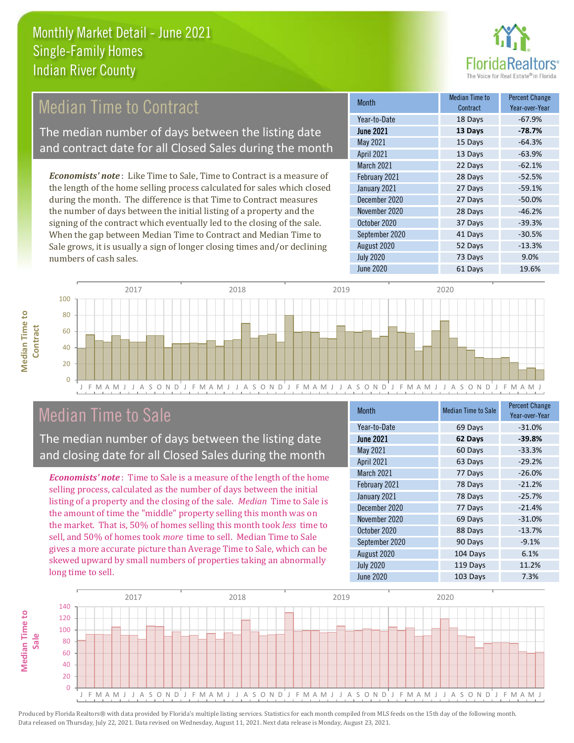

# **Median Time to Contract**

The median number of days between the listing date and contract date for all Closed Sales during the month

*Economists' note* : Like Time to Sale, Time to Contract is a measure of the length of the home selling process calculated for sales which closed during the month. The difference is that Time to Contract measures the number of days between the initial listing of a property and the signing of the contract which eventually led to the closing of the sale. When the gap between Median Time to Contract and Median Time to Sale grows, it is usually a sign of longer closing times and/or declining numbers of cash sales.

| <b>Month</b>      | Median Time to<br>Contract | <b>Percent Change</b><br>Year-over-Year |
|-------------------|----------------------------|-----------------------------------------|
| Year-to-Date      | 18 Days                    | $-67.9%$                                |
| <b>June 2021</b>  | 13 Days                    | $-78.7%$                                |
| May 2021          | 15 Days                    | $-64.3%$                                |
| <b>April 2021</b> | 13 Days                    | $-63.9%$                                |
| March 2021        | 22 Days                    | $-62.1%$                                |
| February 2021     | 28 Days                    | $-52.5%$                                |
| January 2021      | 27 Days                    | $-59.1%$                                |
| December 2020     | 27 Days                    | $-50.0%$                                |
| November 2020     | 28 Days                    | $-46.2%$                                |
| October 2020      | 37 Days                    | $-39.3%$                                |
| September 2020    | 41 Days                    | $-30.5%$                                |
| August 2020       | 52 Days                    | $-13.3%$                                |
| <b>July 2020</b>  | 73 Days                    | 9.0%                                    |
| <b>June 2020</b>  | 61 Days                    | 19.6%                                   |



## Median Time to Sale

**Median Time to Contract**

**Median Time to** 

The median number of days between the listing date and closing date for all Closed Sales during the month

*Economists' note* : Time to Sale is a measure of the length of the home selling process, calculated as the number of days between the initial listing of a property and the closing of the sale. *Median* Time to Sale is the amount of time the "middle" property selling this month was on the market. That is, 50% of homes selling this month took *less* time to sell, and 50% of homes took *more* time to sell. Median Time to Sale gives a more accurate picture than Average Time to Sale, which can be skewed upward by small numbers of properties taking an abnormally long time to sell.

| <b>Month</b>      | <b>Median Time to Sale</b> | <b>Percent Change</b><br>Year-over-Year |
|-------------------|----------------------------|-----------------------------------------|
| Year-to-Date      | 69 Days                    | $-31.0%$                                |
| <b>June 2021</b>  | 62 Days                    | $-39.8%$                                |
| May 2021          | 60 Days                    | $-33.3%$                                |
| <b>April 2021</b> | 63 Days                    | $-29.2%$                                |
| <b>March 2021</b> | 77 Days                    | $-26.0%$                                |
| February 2021     | 78 Days                    | $-21.2%$                                |
| January 2021      | 78 Days                    | $-25.7%$                                |
| December 2020     | 77 Days                    | $-21.4%$                                |
| November 2020     | 69 Days                    | $-31.0%$                                |
| October 2020      | 88 Days                    | $-13.7%$                                |
| September 2020    | 90 Days                    | $-9.1%$                                 |
| August 2020       | 104 Days                   | 6.1%                                    |
| <b>July 2020</b>  | 119 Days                   | 11.2%                                   |
| June 2020         | 103 Days                   | 7.3%                                    |

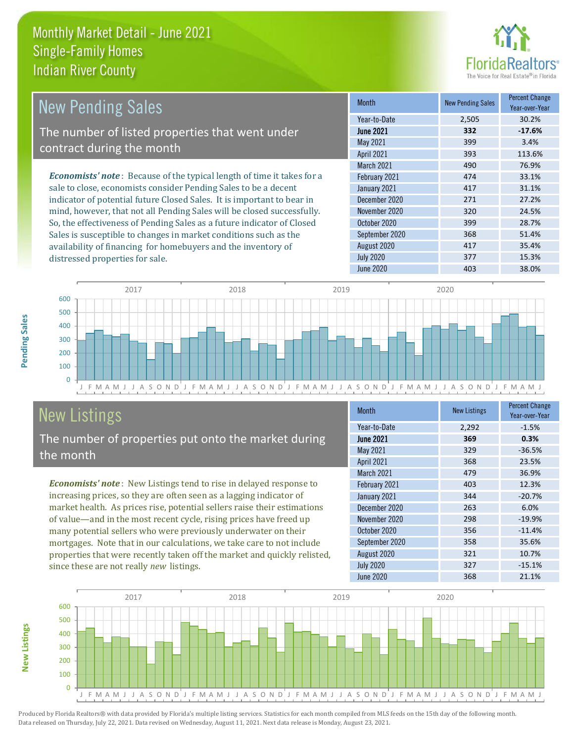distressed properties for sale.



| <b>New Pending Sales</b>                                                       | <b>Month</b>      | <b>New Pending Sales</b> | <b>Percent Change</b><br>Year-over-Year |
|--------------------------------------------------------------------------------|-------------------|--------------------------|-----------------------------------------|
|                                                                                | Year-to-Date      | 2,505                    | 30.2%                                   |
| The number of listed properties that went under                                | <b>June 2021</b>  | 332                      | $-17.6%$                                |
| contract during the month                                                      | May 2021          | 399                      | 3.4%                                    |
|                                                                                | <b>April 2021</b> | 393                      | 113.6%                                  |
|                                                                                | <b>March 2021</b> | 490                      | 76.9%                                   |
| <b>Economists' note</b> : Because of the typical length of time it takes for a | February 2021     | 474                      | 33.1%                                   |
| sale to close, economists consider Pending Sales to be a decent                | January 2021      | 417                      | 31.1%                                   |
| indicator of potential future Closed Sales. It is important to bear in         | December 2020     | 271                      | 27.2%                                   |
| mind, however, that not all Pending Sales will be closed successfully.         | November 2020     | 320                      | 24.5%                                   |
| So, the effectiveness of Pending Sales as a future indicator of Closed         | October 2020      | 399                      | 28.7%                                   |
| Sales is susceptible to changes in market conditions such as the               | September 2020    | 368                      | 51.4%                                   |



# New Listings

The number of properties put onto the market during the month

availability of financing for homebuyers and the inventory of

*Economists' note* : New Listings tend to rise in delayed response to increasing prices, so they are often seen as a lagging indicator of market health. As prices rise, potential sellers raise their estimations of value—and in the most recent cycle, rising prices have freed up many potential sellers who were previously underwater on their mortgages. Note that in our calculations, we take care to not include properties that were recently taken off the market and quickly relisted, since these are not really *new* listings.

| <b>Month</b>     | <b>New Listings</b> | <b>Percent Change</b><br>Year-over-Year |
|------------------|---------------------|-----------------------------------------|
| Year-to-Date     | 2,292               | $-1.5%$                                 |
| <b>June 2021</b> | 369                 | 0.3%                                    |
| May 2021         | 329                 | $-36.5%$                                |
| April 2021       | 368                 | 23.5%                                   |
| March 2021       | 479                 | 36.9%                                   |
| February 2021    | 403                 | 12.3%                                   |
| January 2021     | 344                 | $-20.7%$                                |
| December 2020    | 263                 | 6.0%                                    |
| November 2020    | 298                 | $-19.9%$                                |
| October 2020     | 356                 | $-11.4%$                                |
| September 2020   | 358                 | 35.6%                                   |
| August 2020      | 321                 | 10.7%                                   |
| <b>July 2020</b> | 327                 | $-15.1%$                                |
| <b>June 2020</b> | 368                 | 21.1%                                   |

August 2020 **417** 35.4% July 2020 377 377 15.3% June 2020 **403** 38.0%



**New Listings**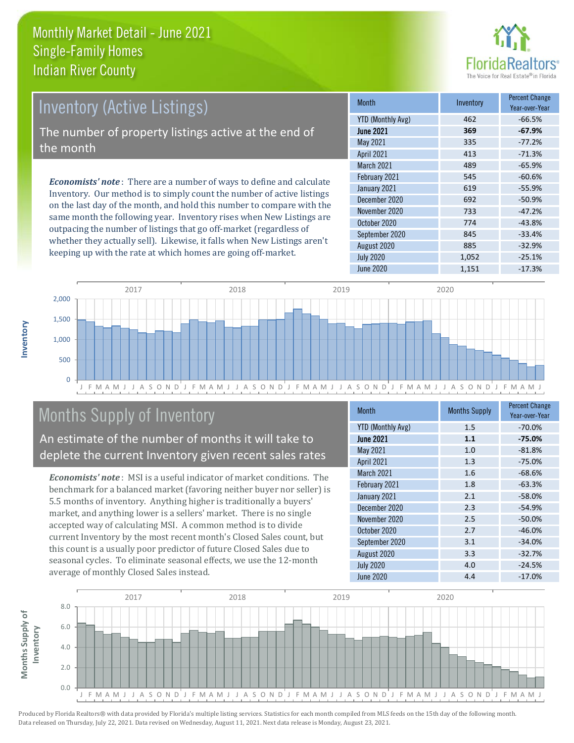

## Inventory (Active Listings)

The number of property listings active at the end of the month

*Economists' note* : There are a number of ways to define and calculate Inventory. Our method is to simply count the number of active listings on the last day of the month, and hold this number to compare with the same month the following year. Inventory rises when New Listings are outpacing the number of listings that go off-market (regardless of whether they actually sell). Likewise, it falls when New Listings aren't keeping up with the rate at which homes are going off-market.

| <b>Month</b>             | Inventory | <b>Percent Change</b><br>Year-over-Year |
|--------------------------|-----------|-----------------------------------------|
| <b>YTD (Monthly Avg)</b> | 462       | $-66.5%$                                |
| <b>June 2021</b>         | 369       | $-67.9%$                                |
| May 2021                 | 335       | $-77.2%$                                |
| April 2021               | 413       | $-71.3%$                                |
| March 2021               | 489       | $-65.9%$                                |
| February 2021            | 545       | $-60.6%$                                |
| January 2021             | 619       | $-55.9%$                                |
| December 2020            | 692       | $-50.9%$                                |
| November 2020            | 733       | $-47.2%$                                |
| October 2020             | 774       | $-43.8%$                                |
| September 2020           | 845       | $-33.4%$                                |
| August 2020              | 885       | $-32.9%$                                |
| <b>July 2020</b>         | 1,052     | $-25.1%$                                |
| June 2020                | 1,151     | $-17.3%$                                |



# Months Supply of Inventory

An estimate of the number of months it will take to deplete the current Inventory given recent sales rates

*Economists' note* : MSI is a useful indicator of market conditions. The benchmark for a balanced market (favoring neither buyer nor seller) is 5.5 months of inventory. Anything higher is traditionally a buyers' market, and anything lower is a sellers' market. There is no single accepted way of calculating MSI. A common method is to divide current Inventory by the most recent month's Closed Sales count, but this count is a usually poor predictor of future Closed Sales due to seasonal cycles. To eliminate seasonal effects, we use the 12-month average of monthly Closed Sales instead.

| <b>Month</b>             | <b>Months Supply</b> | <b>Percent Change</b><br>Year-over-Year |
|--------------------------|----------------------|-----------------------------------------|
| <b>YTD (Monthly Avg)</b> | 1.5                  | $-70.0%$                                |
| <b>June 2021</b>         | 1.1                  | $-75.0%$                                |
| May 2021                 | 1.0                  | $-81.8%$                                |
| <b>April 2021</b>        | 1.3                  | $-75.0%$                                |
| March 2021               | 1.6                  | $-68.6%$                                |
| February 2021            | 1.8                  | $-63.3%$                                |
| January 2021             | 2.1                  | $-58.0%$                                |
| December 2020            | 2.3                  | $-54.9%$                                |
| November 2020            | 2.5                  | $-50.0%$                                |
| October 2020             | 2.7                  | $-46.0%$                                |
| September 2020           | 3.1                  | $-34.0%$                                |
| August 2020              | 3.3                  | $-32.7%$                                |
| <b>July 2020</b>         | 4.0                  | $-24.5%$                                |
| June 2020                | 4.4                  | $-17.0%$                                |

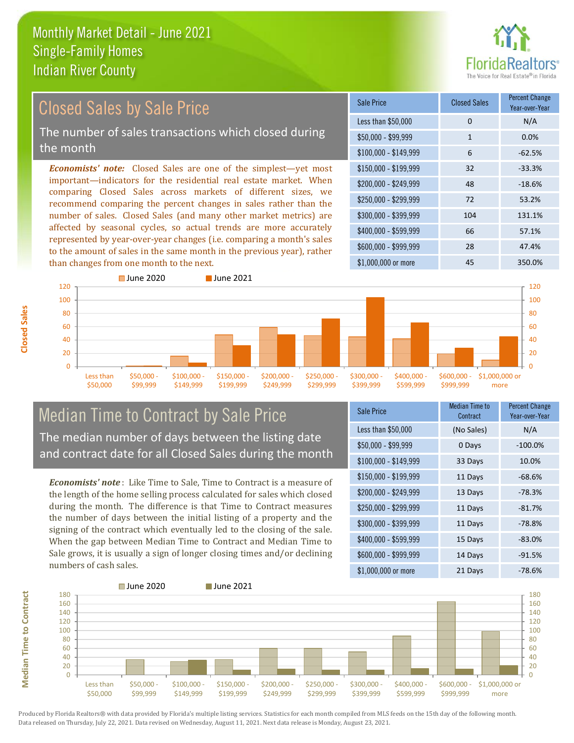

#### *Economists' note:* Closed Sales are one of the simplest—yet most important—indicators for the residential real estate market. When comparing Closed Sales across markets of different sizes, we recommend comparing the percent changes in sales rather than the number of sales. Closed Sales (and many other market metrics) are affected by seasonal cycles, so actual trends are more accurately represented by year-over-year changes (i.e. comparing a month's sales to the amount of sales in the same month in the previous year), rather than changes from one month to the next. \$1,000,000 or more 45 350.0% \$250,000 - \$299,999 72 53.2% \$300,000 - \$399,999 104 131.1% \$400,000 - \$599,999 66 57.1% \$600,000 - \$999,999 28 47.4% \$150,000 - \$199,999 32 -33.3% \$200,000 - \$249,999 48 -18.6% \$100,000 - \$149,999 6 -62.5% Sale Price Closed Sales Percent Change Year-over-Year Less than \$50,000 0 0 N/A  $$50,000 - $99,999$  1 0.0% ■ June 2020 **■ June 2021** Closed Sales by Sale Price The number of sales transactions which closed during the month



### Median Time to Contract by Sale Price The median number of days between the listing date and contract date for all Closed Sales during the month

*Economists' note* : Like Time to Sale, Time to Contract is a measure of the length of the home selling process calculated for sales which closed during the month. The difference is that Time to Contract measures the number of days between the initial listing of a property and the signing of the contract which eventually led to the closing of the sale. When the gap between Median Time to Contract and Median Time to Sale grows, it is usually a sign of longer closing times and/or declining numbers of cash sales.

| <b>Sale Price</b>     | Median Time to<br>Contract | <b>Percent Change</b><br>Year-over-Year |
|-----------------------|----------------------------|-----------------------------------------|
| Less than \$50,000    | (No Sales)                 | N/A                                     |
| $$50,000 - $99,999$   | 0 Days                     | $-100.0%$                               |
| $$100,000 - $149,999$ | 33 Days                    | 10.0%                                   |
| $$150,000 - $199,999$ | 11 Days                    | $-68.6%$                                |
| \$200,000 - \$249,999 | 13 Days                    | $-78.3%$                                |
| \$250,000 - \$299,999 | 11 Days                    | $-81.7%$                                |
| \$300,000 - \$399,999 | 11 Days                    | $-78.8%$                                |
| \$400,000 - \$599,999 | 15 Days                    | $-83.0%$                                |
| \$600,000 - \$999,999 | 14 Days                    | $-91.5%$                                |
| \$1,000,000 or more   | 21 Days                    | $-78.6%$                                |



Produced by Florida Realtors® with data provided by Florida's multiple listing services. Statistics for each month compiled from MLS feeds on the 15th day of the following month. Data released on Thursday, July 22, 2021. Data revised on Wednesday, August 11, 2021. Next data release is Monday, August 23, 2021.

**Median Time to Contract**

**Median Time to Contract**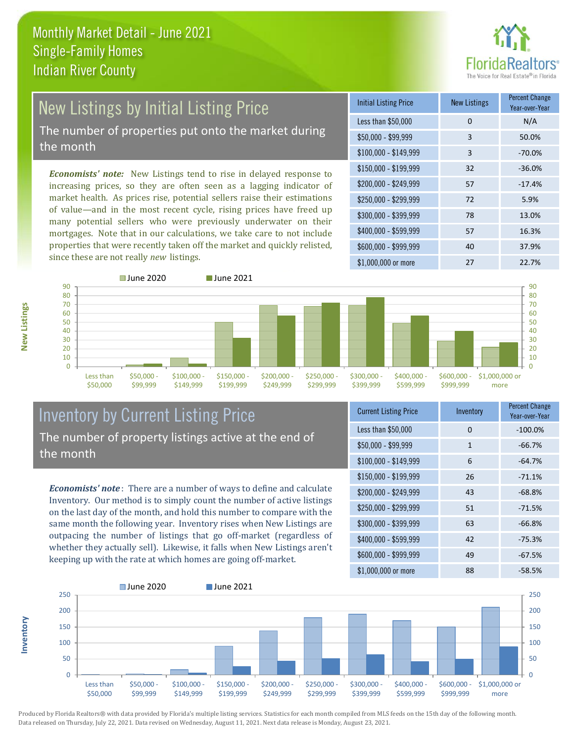

## New Listings by Initial Listing Price The number of properties put onto the market during

the month

*Economists' note:* New Listings tend to rise in delayed response to increasing prices, so they are often seen as a lagging indicator of market health. As prices rise, potential sellers raise their estimations of value—and in the most recent cycle, rising prices have freed up many potential sellers who were previously underwater on their mortgages. Note that in our calculations, we take care to not include properties that were recently taken off the market and quickly relisted, since these are not really *new* listings.

| <b>Initial Listing Price</b> | <b>New Listings</b> | <b>Percent Change</b><br>Year-over-Year |
|------------------------------|---------------------|-----------------------------------------|
| Less than \$50,000           | 0                   | N/A                                     |
| $$50,000 - $99,999$          | 3                   | 50.0%                                   |
| $$100,000 - $149,999$        | 3                   | $-70.0%$                                |
| $$150,000 - $199,999$        | 32                  | $-36.0%$                                |
| \$200,000 - \$249,999        | 57                  | $-17.4%$                                |
| \$250,000 - \$299,999        | 72                  | 5.9%                                    |
| \$300,000 - \$399,999        | 78                  | 13.0%                                   |
| \$400,000 - \$599,999        | 57                  | 16.3%                                   |
| \$600,000 - \$999,999        | 40                  | 37.9%                                   |
| \$1,000,000 or more          | 27                  | 22.7%                                   |



### Inventory by Current Listing Price The number of property listings active at the end of the month

*Economists' note* : There are a number of ways to define and calculate Inventory. Our method is to simply count the number of active listings on the last day of the month, and hold this number to compare with the same month the following year. Inventory rises when New Listings are outpacing the number of listings that go off-market (regardless of whether they actually sell). Likewise, it falls when New Listings aren't keeping up with the rate at which homes are going off-market.

| <b>Current Listing Price</b> | Inventory | <b>Percent Change</b><br>Year-over-Year |
|------------------------------|-----------|-----------------------------------------|
| Less than \$50,000           | 0         | $-100.0%$                               |
| $$50,000 - $99,999$          | 1         | $-66.7%$                                |
| $$100,000 - $149,999$        | 6         | $-64.7%$                                |
| $$150,000 - $199,999$        | 26        | $-71.1%$                                |
| \$200,000 - \$249,999        | 43        | $-68.8%$                                |
| \$250,000 - \$299,999        | 51        | $-71.5%$                                |
| \$300,000 - \$399,999        | 63        | $-66.8%$                                |
| \$400,000 - \$599,999        | 42        | $-75.3%$                                |
| \$600,000 - \$999,999        | 49        | $-67.5%$                                |
| \$1,000,000 or more          | 88        | $-58.5%$                                |



Produced by Florida Realtors® with data provided by Florida's multiple listing services. Statistics for each month compiled from MLS feeds on the 15th day of the following month. Data released on Thursday, July 22, 2021. Data revised on Wednesday, August 11, 2021. Next data release is Monday, August 23, 2021.

**Inventory**